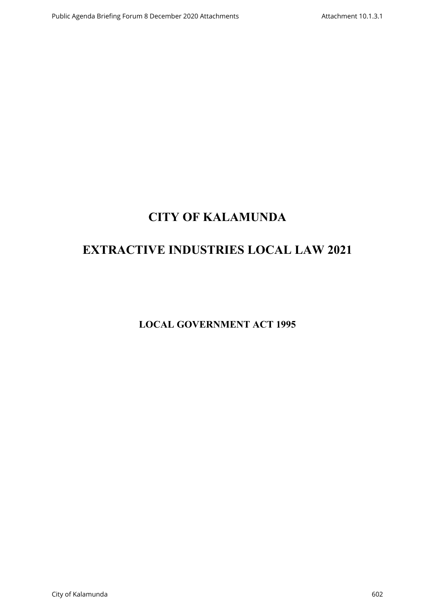# **CITY OF KALAMUNDA**

# **EXTRACTIVE INDUSTRIES LOCAL LAW 2021**

**LOCAL GOVERNMENT ACT 1995**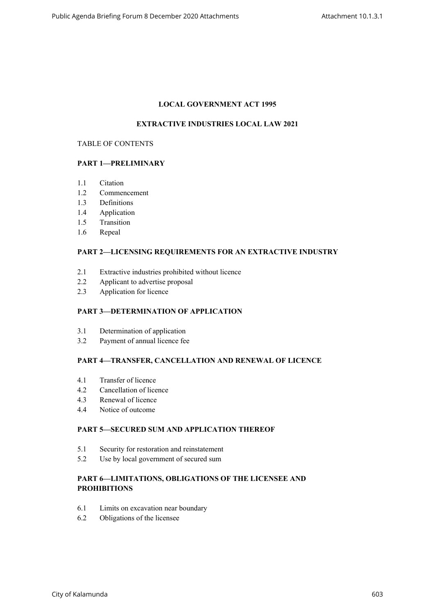## **LOCAL GOVERNMENT ACT 1995**

## **EXTRACTIVE INDUSTRIES LOCAL LAW 2021**

#### TABLE OF CONTENTS

## **PART 1—PRELIMINARY**

- 1.1 Citation
- 1.2 Commencement
- 1.3 Definitions
- 1.4 Application
- 1.5 Transition
- 1.6 Repeal

## **PART 2—LICENSING REQUIREMENTS FOR AN EXTRACTIVE INDUSTRY**

- 2.1 Extractive industries prohibited without licence
- 2.2 Applicant to advertise proposal
- 2.3 Application for licence

## **PART 3—DETERMINATION OF APPLICATION**

- 3.1 Determination of application
- 3.2 Payment of annual licence fee

## **PART 4—TRANSFER, CANCELLATION AND RENEWAL OF LICENCE**

- 4.1 Transfer of licence
- 4.2 Cancellation of licence
- 4.3 Renewal of licence
- 4.4 Notice of outcome

## **PART 5—SECURED SUM AND APPLICATION THEREOF**

- 5.1 Security for restoration and reinstatement
- 5.2 Use by local government of secured sum

## **PART 6—LIMITATIONS, OBLIGATIONS OF THE LICENSEE AND PROHIBITIONS**

- 6.1 Limits on excavation near boundary
- 6.2 Obligations of the licensee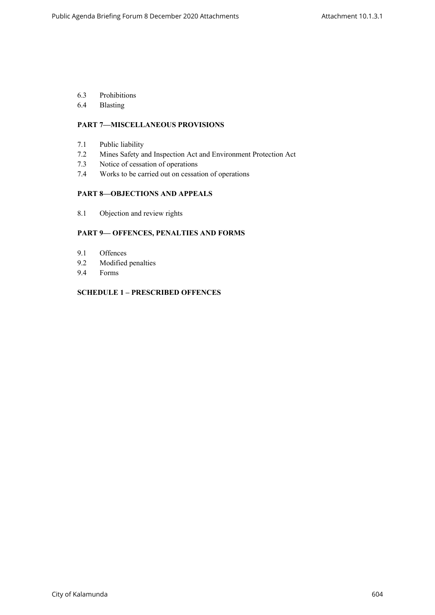- 6.3 Prohibitions
- 6.4 Blasting

## **PART 7—MISCELLANEOUS PROVISIONS**

- 7.1 Public liability
- 7.2 Mines Safety and Inspection Act and Environment Protection Act
- 7.3 Notice of cessation of operations
- 7.4 Works to be carried out on cessation of operations

## **PART 8—OBJECTIONS AND APPEALS**

8.1 Objection and review rights

#### **PART 9— OFFENCES, PENALTIES AND FORMS**

- 9.1 Offences
- 9.2 Modified penalties
- 9.4 Forms

## **SCHEDULE 1 – PRESCRIBED OFFENCES**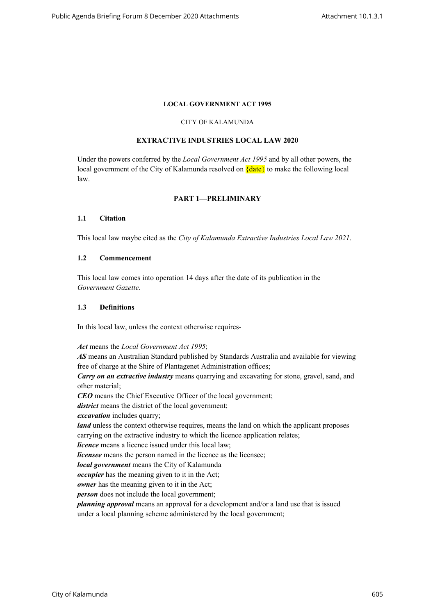#### **LOCAL GOVERNMENT ACT 1995**

#### CITY OF KALAMUNDA

#### **EXTRACTIVE INDUSTRIES LOCAL LAW 2020**

Under the powers conferred by the *Local Government Act 1995* and by all other powers, the local government of the City of Kalamunda resolved on  $\{date\}$  to make the following local law.

#### **PART 1—PRELIMINARY**

#### **1.1 Citation**

This local law maybe cited as the *City of Kalamunda Extractive Industries Local Law 2021*.

#### **1.2 Commencement**

This local law comes into operation 14 days after the date of its publication in the *Government Gazette*.

#### **1.3 Definitions**

In this local law, unless the context otherwise requires-

*Act* means the *Local Government Act 1995*;

*AS* means an Australian Standard published by Standards Australia and available for viewing free of charge at the Shire of Plantagenet Administration offices;

*Carry on an extractive industry* means quarrying and excavating for stone, gravel, sand, and other material;

*CEO* means the Chief Executive Officer of the local government;

*district* means the district of the local government;

*excavation* includes quarry;

*land* unless the context otherwise requires, means the land on which the applicant proposes carrying on the extractive industry to which the licence application relates;

*licence* means a licence issued under this local law:

*licensee* means the person named in the licence as the licensee;

*local government* means the City of Kalamunda

*occupier* has the meaning given to it in the Act;

*owner* has the meaning given to it in the Act;

*person* does not include the local government;

*planning approval* means an approval for a development and/or a land use that is issued under a local planning scheme administered by the local government;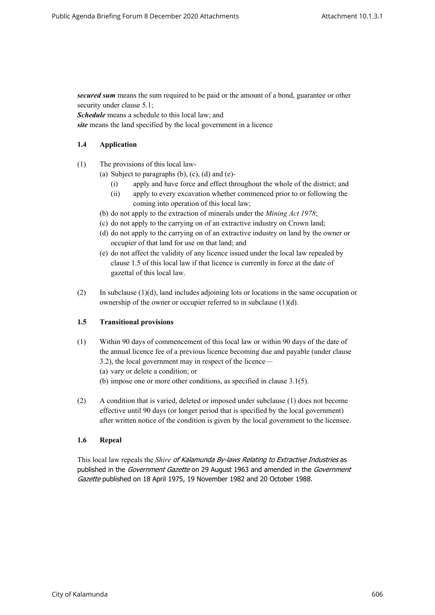*secured sum* means the sum required to be paid or the amount of a bond, guarantee or other security under clause 5.1;

*Schedule* means a schedule to this local law; and

*site* means the land specified by the local government in a licence

## **1.4 Application**

- (1) The provisions of this local law-
	- (a) Subject to paragraphs  $(b)$ ,  $(c)$ ,  $(d)$  and  $(e)$ -
		- (i) apply and have force and effect throughout the whole of the district; and
		- (ii) apply to every excavation whether commenced prior to or following the coming into operation of this local law;
	- (b) do not apply to the extraction of minerals under the *Mining Act 1978*;
	- (c) do not apply to the carrying on of an extractive industry on Crown land;
	- (d) do not apply to the carrying on of an extractive industry on land by the owner or occupier of that land for use on that land; and
	- (e) do not affect the validity of any licence issued under the local law repealed by clause 1.5 of this local law if that licence is currently in force at the date of gazettal of this local law.
- (2) In subclause  $(1)(d)$ , land includes adjoining lots or locations in the same occupation or ownership of the owner or occupier referred to in subclause (1)(d).

## **1.5 Transitional provisions**

- (1) Within 90 days of commencement of this local law or within 90 days of the date of the annual licence fee of a previous licence becoming due and payable (under clause 3.2), the local government may in respect of the licence—
	- (a) vary or delete a condition; or
	- (b) impose one or more other conditions, as specified in clause 3.1(5).
- (2) A condition that is varied, deleted or imposed under subclause (1) does not become effective until 90 days (or longer period that is specified by the local government) after written notice of the condition is given by the local government to the licensee.

#### **1.6 Repeal**

This local law repeals the *Shire of Kalamunda By-laws Relating to Extractive Industries* as published in the *Government Gazette* on 29 August 1963 and amended in the *Government Gazette* published on 18 April 1975, 19 November 1982 and 20 October 1988.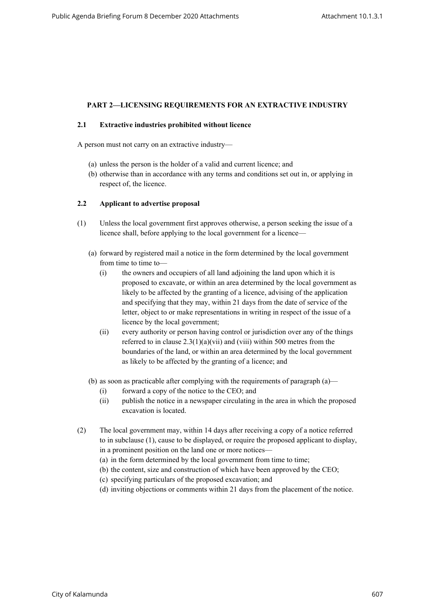## **PART 2—LICENSING REQUIREMENTS FOR AN EXTRACTIVE INDUSTRY**

#### **2.1 Extractive industries prohibited without licence**

A person must not carry on an extractive industry—

- (a) unless the person is the holder of a valid and current licence; and
- (b) otherwise than in accordance with any terms and conditions set out in, or applying in respect of, the licence.

#### **2.2 Applicant to advertise proposal**

- (1) Unless the local government first approves otherwise, a person seeking the issue of a licence shall, before applying to the local government for a licence—
	- (a) forward by registered mail a notice in the form determined by the local government from time to time to-
		- (i) the owners and occupiers of all land adjoining the land upon which it is proposed to excavate, or within an area determined by the local government as likely to be affected by the granting of a licence, advising of the application and specifying that they may, within 21 days from the date of service of the letter, object to or make representations in writing in respect of the issue of a licence by the local government;
		- (ii) every authority or person having control or jurisdiction over any of the things referred to in clause 2.3(1)(a)(vii) and (viii) within 500 metres from the boundaries of the land, or within an area determined by the local government as likely to be affected by the granting of a licence; and
	- (b) as soon as practicable after complying with the requirements of paragraph  $(a)$ 
		- (i) forward a copy of the notice to the CEO; and
		- (ii) publish the notice in a newspaper circulating in the area in which the proposed excavation is located.
- (2) The local government may, within 14 days after receiving a copy of a notice referred to in subclause (1), cause to be displayed, or require the proposed applicant to display, in a prominent position on the land one or more notices—
	- (a) in the form determined by the local government from time to time;
	- (b) the content, size and construction of which have been approved by the CEO;
	- (c) specifying particulars of the proposed excavation; and
	- (d) inviting objections or comments within 21 days from the placement of the notice.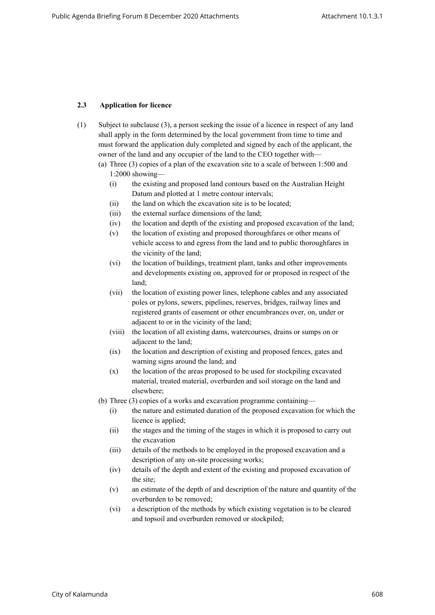#### **2.3 Application for licence**

- (1) Subject to subclause (3), a person seeking the issue of a licence in respect of any land shall apply in the form determined by the local government from time to time and must forward the application duly completed and signed by each of the applicant, the owner of the land and any occupier of the land to the CEO together with—
	- (a) Three (3) copies of a plan of the excavation site to a scale of between 1:500 and 1:2000 showing—
		- (i) the existing and proposed land contours based on the Australian Height Datum and plotted at 1 metre contour intervals;
		- (ii) the land on which the excavation site is to be located;
		- (iii) the external surface dimensions of the land;
		- (iv) the location and depth of the existing and proposed excavation of the land;
		- (v) the location of existing and proposed thoroughfares or other means of vehicle access to and egress from the land and to public thoroughfares in the vicinity of the land;
		- (vi) the location of buildings, treatment plant, tanks and other improvements and developments existing on, approved for or proposed in respect of the land;
		- (vii) the location of existing power lines, telephone cables and any associated poles or pylons, sewers, pipelines, reserves, bridges, railway lines and registered grants of easement or other encumbrances over, on, under or adjacent to or in the vicinity of the land;
		- (viii) the location of all existing dams, watercourses, drains or sumps on or adjacent to the land;
		- (ix) the location and description of existing and proposed fences, gates and warning signs around the land; and
		- (x) the location of the areas proposed to be used for stockpiling excavated material, treated material, overburden and soil storage on the land and elsewhere;
	- (b) Three (3) copies of a works and excavation programme containing—
		- (i) the nature and estimated duration of the proposed excavation for which the licence is applied;
		- (ii) the stages and the timing of the stages in which it is proposed to carry out the excavation
		- (iii) details of the methods to be employed in the proposed excavation and a description of any on-site processing works;
		- (iv) details of the depth and extent of the existing and proposed excavation of the site;
		- (v) an estimate of the depth of and description of the nature and quantity of the overburden to be removed;
		- (vi) a description of the methods by which existing vegetation is to be cleared and topsoil and overburden removed or stockpiled;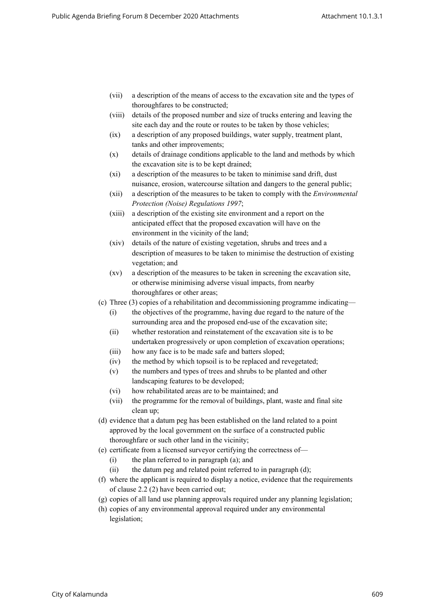- (vii) a description of the means of access to the excavation site and the types of thoroughfares to be constructed;
- (viii) details of the proposed number and size of trucks entering and leaving the site each day and the route or routes to be taken by those vehicles;
- (ix) a description of any proposed buildings, water supply, treatment plant, tanks and other improvements;
- (x) details of drainage conditions applicable to the land and methods by which the excavation site is to be kept drained;
- (xi) a description of the measures to be taken to minimise sand drift, dust nuisance, erosion, watercourse siltation and dangers to the general public;
- (xii) a description of the measures to be taken to comply with the *Environmental Protection (Noise) Regulations 1997*;
- (xiii) a description of the existing site environment and a report on the anticipated effect that the proposed excavation will have on the environment in the vicinity of the land;
- (xiv) details of the nature of existing vegetation, shrubs and trees and a description of measures to be taken to minimise the destruction of existing vegetation; and
- (xv) a description of the measures to be taken in screening the excavation site, or otherwise minimising adverse visual impacts, from nearby thoroughfares or other areas;
- (c) Three (3) copies of a rehabilitation and decommissioning programme indicating—
	- (i) the objectives of the programme, having due regard to the nature of the surrounding area and the proposed end-use of the excavation site;
	- (ii) whether restoration and reinstatement of the excavation site is to be undertaken progressively or upon completion of excavation operations;
	- (iii) how any face is to be made safe and batters sloped;
	- (iv) the method by which topsoil is to be replaced and revegetated;
	- (v) the numbers and types of trees and shrubs to be planted and other landscaping features to be developed;
	- (vi) how rehabilitated areas are to be maintained; and
	- (vii) the programme for the removal of buildings, plant, waste and final site clean up;
- (d) evidence that a datum peg has been established on the land related to a point approved by the local government on the surface of a constructed public thoroughfare or such other land in the vicinity;
- (e) certificate from a licensed surveyor certifying the correctness of—
	- (i) the plan referred to in paragraph (a); and
	- (ii) the datum peg and related point referred to in paragraph (d);
- (f) where the applicant is required to display a notice, evidence that the requirements of clause 2.2 (2) have been carried out;
- (g) copies of all land use planning approvals required under any planning legislation;
- (h) copies of any environmental approval required under any environmental legislation;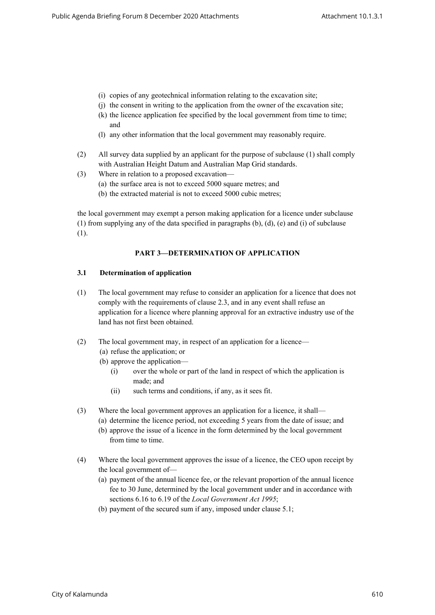- (i) copies of any geotechnical information relating to the excavation site;
- (j) the consent in writing to the application from the owner of the excavation site;
- (k) the licence application fee specified by the local government from time to time; and
- (l) any other information that the local government may reasonably require.
- (2) All survey data supplied by an applicant for the purpose of subclause (1) shall comply with Australian Height Datum and Australian Map Grid standards.
- (3) Where in relation to a proposed excavation—
	- (a) the surface area is not to exceed 5000 square metres; and
	- (b) the extracted material is not to exceed 5000 cubic metres;

the local government may exempt a person making application for a licence under subclause (1) from supplying any of the data specified in paragraphs  $(b)$ ,  $(d)$ ,  $(e)$  and  $(i)$  of subclause (1).

## **PART 3—DETERMINATION OF APPLICATION**

#### **3.1 Determination of application**

- (1) The local government may refuse to consider an application for a licence that does not comply with the requirements of clause 2.3, and in any event shall refuse an application for a licence where planning approval for an extractive industry use of the land has not first been obtained.
- (2) The local government may, in respect of an application for a licence—
	- (a) refuse the application; or
	- (b) approve the application—
		- (i) over the whole or part of the land in respect of which the application is made; and
		- (ii) such terms and conditions, if any, as it sees fit.
- (3) Where the local government approves an application for a licence, it shall—
	- (a) determine the licence period, not exceeding 5 years from the date of issue; and
	- (b) approve the issue of a licence in the form determined by the local government from time to time.
- (4) Where the local government approves the issue of a licence, the CEO upon receipt by the local government of—
	- (a) payment of the annual licence fee, or the relevant proportion of the annual licence fee to 30 June, determined by the local government under and in accordance with sections 6.16 to 6.19 of the *Local Government Act 1995*;
	- (b) payment of the secured sum if any, imposed under clause 5.1;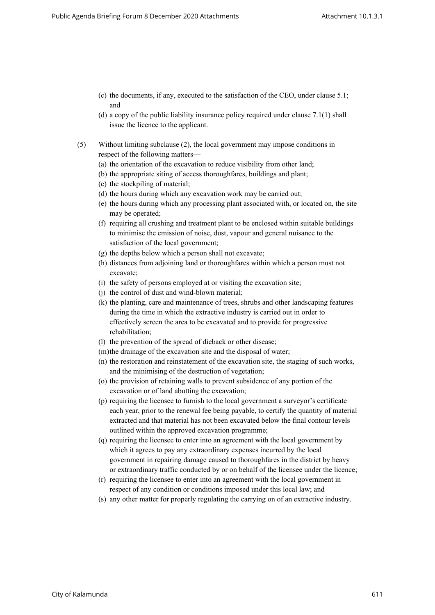- (c) the documents, if any, executed to the satisfaction of the CEO, under clause 5.1; and
- (d) a copy of the public liability insurance policy required under clause 7.1(1) shall issue the licence to the applicant.
- (5) Without limiting subclause (2), the local government may impose conditions in respect of the following matters—
	- (a) the orientation of the excavation to reduce visibility from other land;
	- (b) the appropriate siting of access thoroughfares, buildings and plant;
	- (c) the stockpiling of material;
	- (d) the hours during which any excavation work may be carried out;
	- (e) the hours during which any processing plant associated with, or located on, the site may be operated;
	- (f) requiring all crushing and treatment plant to be enclosed within suitable buildings to minimise the emission of noise, dust, vapour and general nuisance to the satisfaction of the local government;
	- (g) the depths below which a person shall not excavate;
	- (h) distances from adjoining land or thoroughfares within which a person must not excavate;
	- (i) the safety of persons employed at or visiting the excavation site;
	- (j) the control of dust and wind-blown material;
	- (k) the planting, care and maintenance of trees, shrubs and other landscaping features during the time in which the extractive industry is carried out in order to effectively screen the area to be excavated and to provide for progressive rehabilitation;
	- (l) the prevention of the spread of dieback or other disease;
	- (m)the drainage of the excavation site and the disposal of water;
	- (n) the restoration and reinstatement of the excavation site, the staging of such works, and the minimising of the destruction of vegetation;
	- (o) the provision of retaining walls to prevent subsidence of any portion of the excavation or of land abutting the excavation;
	- (p) requiring the licensee to furnish to the local government a surveyor's certificate each year, prior to the renewal fee being payable, to certify the quantity of material extracted and that material has not been excavated below the final contour levels outlined within the approved excavation programme;
	- (q) requiring the licensee to enter into an agreement with the local government by which it agrees to pay any extraordinary expenses incurred by the local government in repairing damage caused to thoroughfares in the district by heavy or extraordinary traffic conducted by or on behalf of the licensee under the licence;
	- (r) requiring the licensee to enter into an agreement with the local government in respect of any condition or conditions imposed under this local law; and
	- (s) any other matter for properly regulating the carrying on of an extractive industry.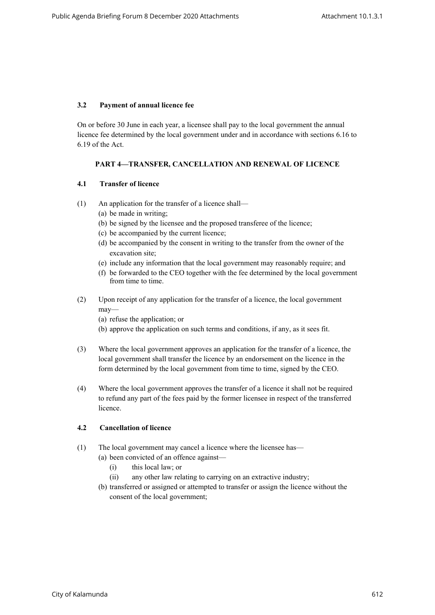## **3.2 Payment of annual licence fee**

On or before 30 June in each year, a licensee shall pay to the local government the annual licence fee determined by the local government under and in accordance with sections 6.16 to 6.19 of the Act.

## **PART 4—TRANSFER, CANCELLATION AND RENEWAL OF LICENCE**

## **4.1 Transfer of licence**

- (1) An application for the transfer of a licence shall—
	- (a) be made in writing;
	- (b) be signed by the licensee and the proposed transferee of the licence;
	- (c) be accompanied by the current licence;
	- (d) be accompanied by the consent in writing to the transfer from the owner of the excavation site;
	- (e) include any information that the local government may reasonably require; and
	- (f) be forwarded to the CEO together with the fee determined by the local government from time to time.
- (2) Upon receipt of any application for the transfer of a licence, the local government may—
	- (a) refuse the application; or
	- (b) approve the application on such terms and conditions, if any, as it sees fit.
- (3) Where the local government approves an application for the transfer of a licence, the local government shall transfer the licence by an endorsement on the licence in the form determined by the local government from time to time, signed by the CEO.
- (4) Where the local government approves the transfer of a licence it shall not be required to refund any part of the fees paid by the former licensee in respect of the transferred licence.

## **4.2 Cancellation of licence**

- (1) The local government may cancel a licence where the licensee has—
	- (a) been convicted of an offence against—
		- (i) this local law; or
		- (ii) any other law relating to carrying on an extractive industry;
	- (b) transferred or assigned or attempted to transfer or assign the licence without the consent of the local government;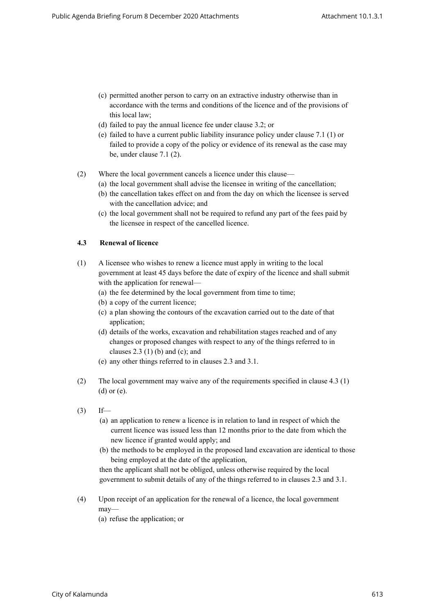- (c) permitted another person to carry on an extractive industry otherwise than in accordance with the terms and conditions of the licence and of the provisions of this local law;
- (d) failed to pay the annual licence fee under clause 3.2; or
- (e) failed to have a current public liability insurance policy under clause 7.1 (1) or failed to provide a copy of the policy or evidence of its renewal as the case may be, under clause 7.1 (2).
- (2) Where the local government cancels a licence under this clause—
	- (a) the local government shall advise the licensee in writing of the cancellation;
	- (b) the cancellation takes effect on and from the day on which the licensee is served with the cancellation advice; and
	- (c) the local government shall not be required to refund any part of the fees paid by the licensee in respect of the cancelled licence.

#### **4.3 Renewal of licence**

- (1) A licensee who wishes to renew a licence must apply in writing to the local government at least 45 days before the date of expiry of the licence and shall submit with the application for renewal—
	- (a) the fee determined by the local government from time to time;
	- (b) a copy of the current licence;
	- (c) a plan showing the contours of the excavation carried out to the date of that application;
	- (d) details of the works, excavation and rehabilitation stages reached and of any changes or proposed changes with respect to any of the things referred to in clauses  $2.3$  (1) (b) and (c); and
	- (e) any other things referred to in clauses 2.3 and 3.1.
- (2) The local government may waive any of the requirements specified in clause 4.3 (1) (d) or (e).
- $(3)$  If—
	- (a) an application to renew a licence is in relation to land in respect of which the current licence was issued less than 12 months prior to the date from which the new licence if granted would apply; and
	- (b) the methods to be employed in the proposed land excavation are identical to those being employed at the date of the application,

then the applicant shall not be obliged, unless otherwise required by the local government to submit details of any of the things referred to in clauses 2.3 and 3.1.

- (4) Upon receipt of an application for the renewal of a licence, the local government may—
	- (a) refuse the application; or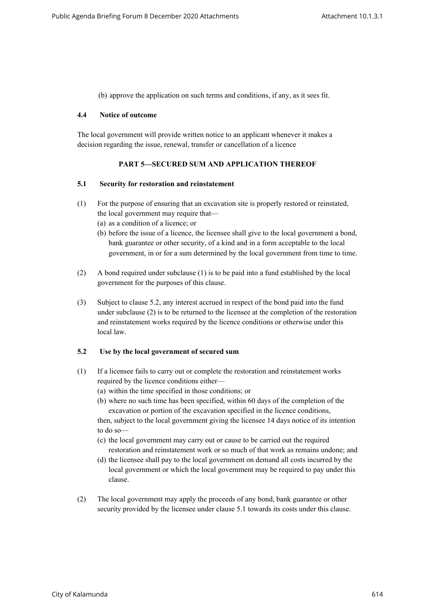(b) approve the application on such terms and conditions, if any, as it sees fit.

#### **4.4 Notice of outcome**

The local government will provide written notice to an applicant whenever it makes a decision regarding the issue, renewal, transfer or cancellation of a licence

## **PART 5—SECURED SUM AND APPLICATION THEREOF**

#### **5.1 Security for restoration and reinstatement**

- (1) For the purpose of ensuring that an excavation site is properly restored or reinstated, the local government may require that—
	- (a) as a condition of a licence; or
	- (b) before the issue of a licence, the licensee shall give to the local government a bond, bank guarantee or other security, of a kind and in a form acceptable to the local government, in or for a sum determined by the local government from time to time.
- (2) A bond required under subclause (1) is to be paid into a fund established by the local government for the purposes of this clause.
- (3) Subject to clause 5.2, any interest accrued in respect of the bond paid into the fund under subclause (2) is to be returned to the licensee at the completion of the restoration and reinstatement works required by the licence conditions or otherwise under this local law.

## **5.2 Use by the local government of secured sum**

- (1) If a licensee fails to carry out or complete the restoration and reinstatement works required by the licence conditions either—
	- (a) within the time specified in those conditions; or
	- (b) where no such time has been specified, within 60 days of the completion of the excavation or portion of the excavation specified in the licence conditions,

then, subject to the local government giving the licensee 14 days notice of its intention to do so—

- (c) the local government may carry out or cause to be carried out the required restoration and reinstatement work or so much of that work as remains undone; and
- (d) the licensee shall pay to the local government on demand all costs incurred by the local government or which the local government may be required to pay under this clause.
- (2) The local government may apply the proceeds of any bond, bank guarantee or other security provided by the licensee under clause 5.1 towards its costs under this clause.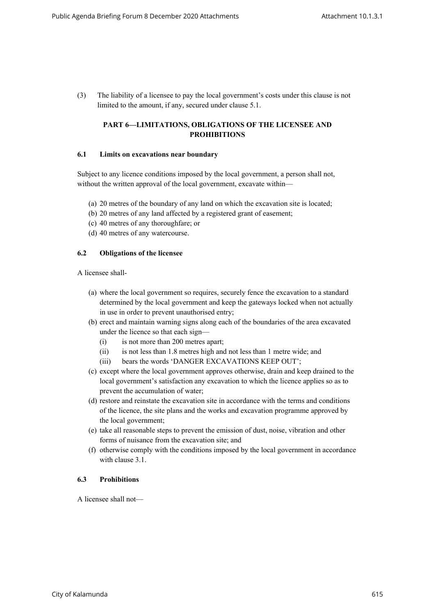(3) The liability of a licensee to pay the local government's costs under this clause is not limited to the amount, if any, secured under clause 5.1.

## **PART 6—LIMITATIONS, OBLIGATIONS OF THE LICENSEE AND PROHIBITIONS**

#### **6.1 Limits on excavations near boundary**

Subject to any licence conditions imposed by the local government, a person shall not, without the written approval of the local government, excavate within—

- (a) 20 metres of the boundary of any land on which the excavation site is located;
- (b) 20 metres of any land affected by a registered grant of easement;
- (c) 40 metres of any thoroughfare; or
- (d) 40 metres of any watercourse.

#### **6.2 Obligations of the licensee**

A licensee shall-

- (a) where the local government so requires, securely fence the excavation to a standard determined by the local government and keep the gateways locked when not actually in use in order to prevent unauthorised entry;
- (b) erect and maintain warning signs along each of the boundaries of the area excavated under the licence so that each sign—
	- (i) is not more than 200 metres apart;
	- (ii) is not less than 1.8 metres high and not less than 1 metre wide; and
	- (iii) bears the words 'DANGER EXCAVATIONS KEEP OUT';
- (c) except where the local government approves otherwise, drain and keep drained to the local government's satisfaction any excavation to which the licence applies so as to prevent the accumulation of water;
- (d) restore and reinstate the excavation site in accordance with the terms and conditions of the licence, the site plans and the works and excavation programme approved by the local government;
- (e) take all reasonable steps to prevent the emission of dust, noise, vibration and other forms of nuisance from the excavation site; and
- (f) otherwise comply with the conditions imposed by the local government in accordance with clause 3.1.

#### **6.3 Prohibitions**

A licensee shall not—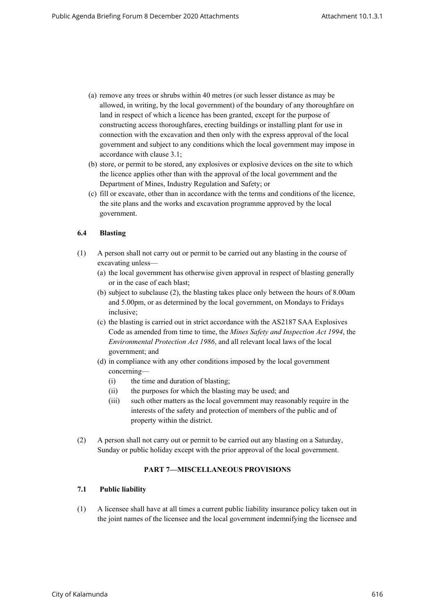- (a) remove any trees or shrubs within 40 metres (or such lesser distance as may be allowed, in writing, by the local government) of the boundary of any thoroughfare on land in respect of which a licence has been granted, except for the purpose of constructing access thoroughfares, erecting buildings or installing plant for use in connection with the excavation and then only with the express approval of the local government and subject to any conditions which the local government may impose in accordance with clause 3.1;
- (b) store, or permit to be stored, any explosives or explosive devices on the site to which the licence applies other than with the approval of the local government and the Department of Mines, Industry Regulation and Safety; or
- (c) fill or excavate, other than in accordance with the terms and conditions of the licence, the site plans and the works and excavation programme approved by the local government.

## **6.4 Blasting**

- (1) A person shall not carry out or permit to be carried out any blasting in the course of excavating unless—
	- (a) the local government has otherwise given approval in respect of blasting generally or in the case of each blast;
	- (b) subject to subclause (2), the blasting takes place only between the hours of 8.00am and 5.00pm, or as determined by the local government, on Mondays to Fridays inclusive;
	- (c) the blasting is carried out in strict accordance with the AS2187 SAA Explosives Code as amended from time to time, the *Mines Safety and Inspection Act 1994*, the *Environmental Protection Act 1986*, and all relevant local laws of the local government; and
	- (d) in compliance with any other conditions imposed by the local government concerning—
		- (i) the time and duration of blasting;
		- (ii) the purposes for which the blasting may be used; and
		- (iii) such other matters as the local government may reasonably require in the interests of the safety and protection of members of the public and of property within the district.
- (2) A person shall not carry out or permit to be carried out any blasting on a Saturday, Sunday or public holiday except with the prior approval of the local government.

## **PART 7—MISCELLANEOUS PROVISIONS**

#### **7.1 Public liability**

(1) A licensee shall have at all times a current public liability insurance policy taken out in the joint names of the licensee and the local government indemnifying the licensee and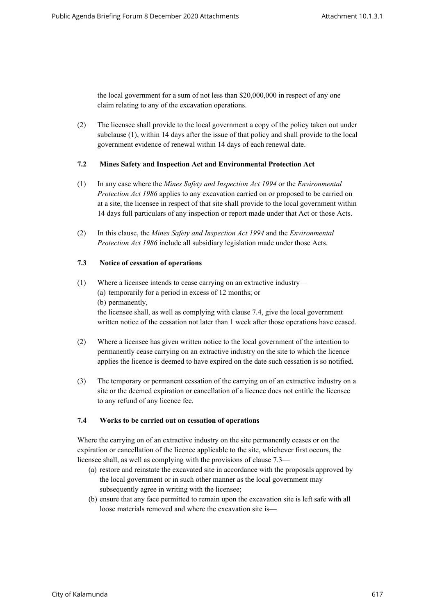the local government for a sum of not less than \$20,000,000 in respect of any one claim relating to any of the excavation operations.

(2) The licensee shall provide to the local government a copy of the policy taken out under subclause (1), within 14 days after the issue of that policy and shall provide to the local government evidence of renewal within 14 days of each renewal date.

#### **7.2 Mines Safety and Inspection Act and Environmental Protection Act**

- (1) In any case where the *Mines Safety and Inspection Act 1994* or the *Environmental Protection Act 1986* applies to any excavation carried on or proposed to be carried on at a site, the licensee in respect of that site shall provide to the local government within 14 days full particulars of any inspection or report made under that Act or those Acts.
- (2) In this clause, the *Mines Safety and Inspection Act 1994* and the *Environmental Protection Act 1986* include all subsidiary legislation made under those Acts.

## **7.3 Notice of cessation of operations**

- (1) Where a licensee intends to cease carrying on an extractive industry— (a) temporarily for a period in excess of 12 months; or (b) permanently, the licensee shall, as well as complying with clause 7.4, give the local government written notice of the cessation not later than 1 week after those operations have ceased.
- (2) Where a licensee has given written notice to the local government of the intention to permanently cease carrying on an extractive industry on the site to which the licence applies the licence is deemed to have expired on the date such cessation is so notified.
- (3) The temporary or permanent cessation of the carrying on of an extractive industry on a site or the deemed expiration or cancellation of a licence does not entitle the licensee to any refund of any licence fee.

#### **7.4 Works to be carried out on cessation of operations**

Where the carrying on of an extractive industry on the site permanently ceases or on the expiration or cancellation of the licence applicable to the site, whichever first occurs, the licensee shall, as well as complying with the provisions of clause 7.3—

- (a) restore and reinstate the excavated site in accordance with the proposals approved by the local government or in such other manner as the local government may subsequently agree in writing with the licensee;
- (b) ensure that any face permitted to remain upon the excavation site is left safe with all loose materials removed and where the excavation site is—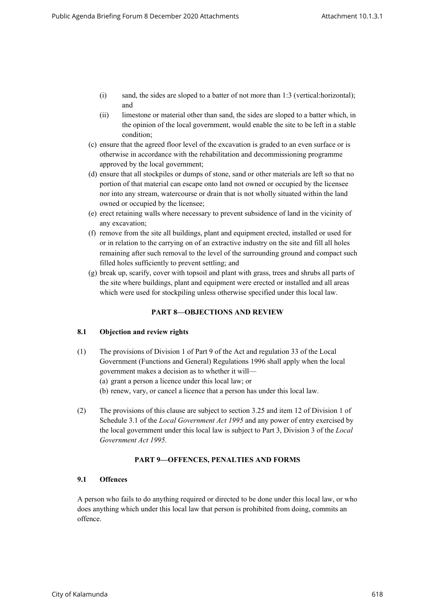- (i) sand, the sides are sloped to a batter of not more than 1:3 (vertical:horizontal); and
- (ii) limestone or material other than sand, the sides are sloped to a batter which, in the opinion of the local government, would enable the site to be left in a stable condition;
- (c) ensure that the agreed floor level of the excavation is graded to an even surface or is otherwise in accordance with the rehabilitation and decommissioning programme approved by the local government;
- (d) ensure that all stockpiles or dumps of stone, sand or other materials are left so that no portion of that material can escape onto land not owned or occupied by the licensee nor into any stream, watercourse or drain that is not wholly situated within the land owned or occupied by the licensee;
- (e) erect retaining walls where necessary to prevent subsidence of land in the vicinity of any excavation;
- (f) remove from the site all buildings, plant and equipment erected, installed or used for or in relation to the carrying on of an extractive industry on the site and fill all holes remaining after such removal to the level of the surrounding ground and compact such filled holes sufficiently to prevent settling; and
- (g) break up, scarify, cover with topsoil and plant with grass, trees and shrubs all parts of the site where buildings, plant and equipment were erected or installed and all areas which were used for stockpiling unless otherwise specified under this local law.

## **PART 8—OBJECTIONS AND REVIEW**

## **8.1 Objection and review rights**

- (1) The provisions of Division 1 of Part 9 of the Act and regulation 33 of the Local Government (Functions and General) Regulations 1996 shall apply when the local government makes a decision as to whether it will—
	- (a) grant a person a licence under this local law; or
	- (b) renew, vary, or cancel a licence that a person has under this local law.
- (2) The provisions of this clause are subject to section 3.25 and item 12 of Division 1 of Schedule 3.1 of the *Local Government Act 1995* and any power of entry exercised by the local government under this local law is subject to Part 3, Division 3 of the *Local Government Act 1995.*

## **PART 9—OFFENCES, PENALTIES AND FORMS**

## **9.1 Offences**

A person who fails to do anything required or directed to be done under this local law, or who does anything which under this local law that person is prohibited from doing, commits an offence.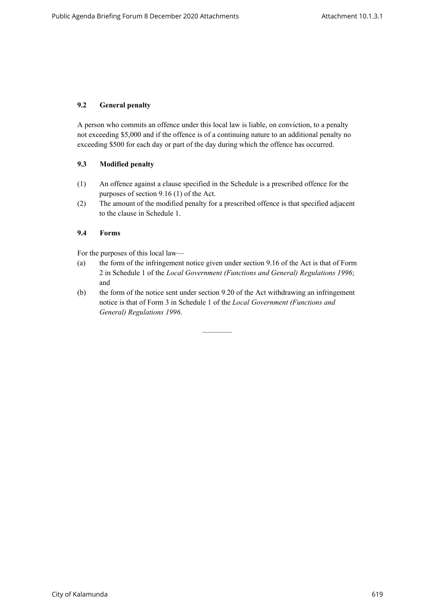## **9.2 General penalty**

A person who commits an offence under this local law is liable, on conviction, to a penalty not exceeding \$5,000 and if the offence is of a continuing nature to an additional penalty no exceeding \$500 for each day or part of the day during which the offence has occurred.

## **9.3 Modified penalty**

- (1) An offence against a clause specified in the Schedule is a prescribed offence for the purposes of section 9.16 (1) of the Act.
- (2) The amount of the modified penalty for a prescribed offence is that specified adjacent to the clause in Schedule 1.

#### **9.4 Forms**

For the purposes of this local law—

- (a) the form of the infringement notice given under section 9.16 of the Act is that of Form 2 in Schedule 1 of the *Local Government (Functions and General) Regulations 1996*; and
- (b) the form of the notice sent under section 9.20 of the Act withdrawing an infringement notice is that of Form 3 in Schedule 1 of the *Local Government (Functions and General) Regulations 1996*.

————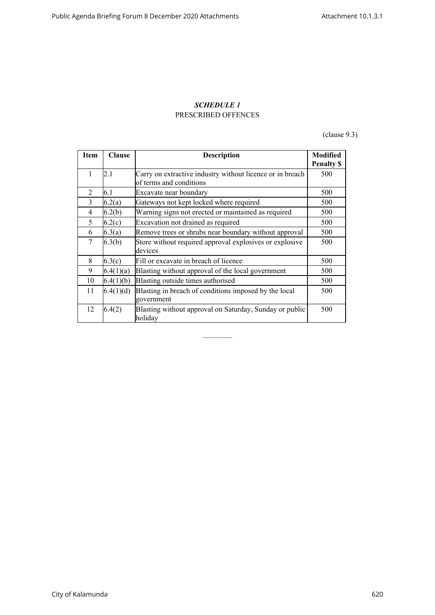# *SCHEDULE 1* PRESCRIBED OFFENCES

(clause 9.3)

| Item           | <b>Clause</b> | <b>Description</b>                                                                   | <b>Modified</b>   |
|----------------|---------------|--------------------------------------------------------------------------------------|-------------------|
|                |               |                                                                                      | <b>Penalty \$</b> |
| $\mathbf{1}$   | 2.1           | Carry on extractive industry without licence or in breach<br>of terms and conditions | 500               |
| $\mathfrak{D}$ | 6.1           | Excavate near boundary                                                               | 500               |
| 3              | 6.2(a)        | Gateways not kept locked where required                                              | 500               |
| 4              | 6.2(b)        | Warning signs not erected or maintained as required                                  | 500               |
| 5              | 6.2(c)        | Excavation not drained as required                                                   | 500               |
| 6              | 6.3(a)        | Remove trees or shrubs near boundary without approval                                | 500               |
| 7              | 6.3(b)        | Store without required approval explosives or explosive<br>devices                   | 500               |
| 8              | 6.3(c)        | Fill or excavate in breach of licence                                                | 500               |
| 9              | 6.4(1)(a)     | Blasting without approval of the local government                                    | 500               |
| 10             | 6.4(1)(b)     | Blasting outside times authorised                                                    | 500               |
| 11             | 6.4(1)(d)     | Blasting in breach of conditions imposed by the local<br>government                  | 500               |
| 12             | 6.4(2)        | Blasting without approval on Saturday, Sunday or public<br>holiday                   | 500               |

————